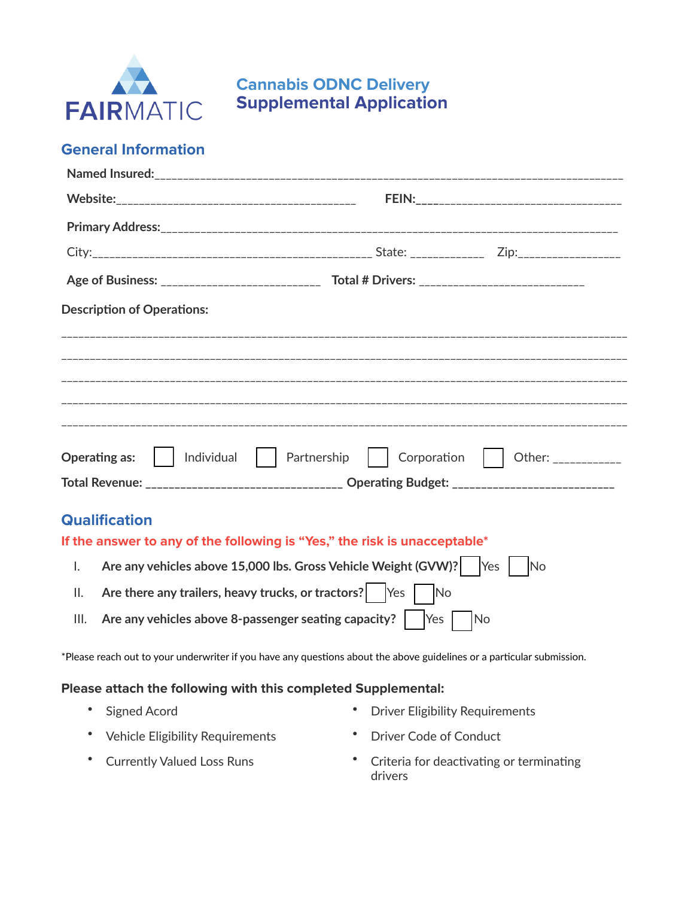

**Cannabis ODNC Delivery Supplemental Application**

## **General Information**

| <b>Description of Operations:</b>                                                                 |                                                                                             |  |  |  |
|---------------------------------------------------------------------------------------------------|---------------------------------------------------------------------------------------------|--|--|--|
|                                                                                                   |                                                                                             |  |  |  |
|                                                                                                   |                                                                                             |  |  |  |
|                                                                                                   |                                                                                             |  |  |  |
|                                                                                                   |                                                                                             |  |  |  |
| Operating as:     Individual     Partnership     Corporation                                      | Other: ____________                                                                         |  |  |  |
|                                                                                                   | Total Revenue: _______________________________ Operating Budget: __________________________ |  |  |  |
| <b>Qualification</b><br>If the answer to any of the following is "Yes," the risk is unacceptable* |                                                                                             |  |  |  |
| Are any vehicles above 15,000 lbs. Gross Vehicle Weight (GVW)?   Yes   No<br>$\mathsf{L}$         |                                                                                             |  |  |  |

- II. **Are there any trailers, heavy trucks, or tractors?** [ ] Yes [ ] No
- III. **Are any vehicles above 8-passenger seating capacity?** Thes Tho

\*Please reach out to your underwriter if you have any questions about the above guidelines or a particular submission.

## **Please attach the following with this completed Supplemental:**

- 
- Vehicle Eligibility Requirements Driver Code of Conduct
- 
- Signed Acord  **Driver Eligibility Requirements** 
	-
- Currently Valued Loss Runs Criteria for deactivating or terminating drivers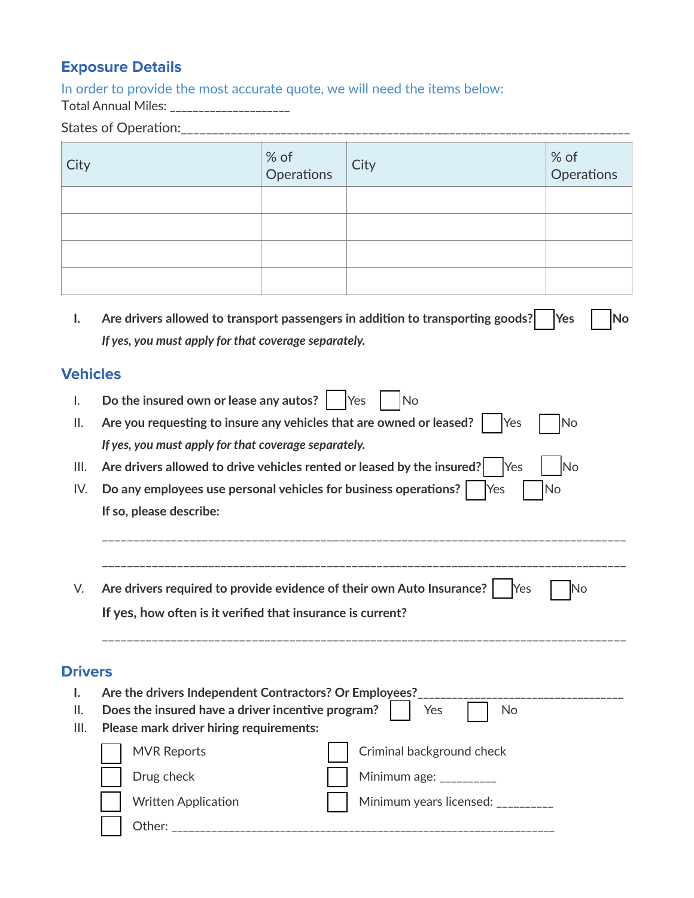## **Exposure Details**

In order to provide the most accurate quote, we will need the items below:

Total Annual Miles: \_\_\_\_\_\_\_\_\_\_\_\_\_\_\_\_\_\_\_\_\_

|                 | States of Operation:___________                                                                                  |                                                        |                                   |                    |  |  |
|-----------------|------------------------------------------------------------------------------------------------------------------|--------------------------------------------------------|-----------------------------------|--------------------|--|--|
| City            |                                                                                                                  | % of<br>Operations                                     | City                              | % of<br>Operations |  |  |
|                 |                                                                                                                  |                                                        |                                   |                    |  |  |
|                 |                                                                                                                  |                                                        |                                   |                    |  |  |
|                 |                                                                                                                  |                                                        |                                   |                    |  |  |
|                 |                                                                                                                  |                                                        |                                   |                    |  |  |
| I.              | Are drivers allowed to transport passengers in addition to transporting goods?<br><b>Yes</b><br>No               |                                                        |                                   |                    |  |  |
|                 | If yes, you must apply for that coverage separately.                                                             |                                                        |                                   |                    |  |  |
| <b>Vehicles</b> |                                                                                                                  |                                                        |                                   |                    |  |  |
| I.              | Do the insured own or lease any autos? $ $ Yes<br>No                                                             |                                                        |                                   |                    |  |  |
| ΙΙ.             | Are you requesting to insure any vehicles that are owned or leased?  <br><b>No</b><br>Yes                        |                                                        |                                   |                    |  |  |
|                 | If yes, you must apply for that coverage separately.                                                             |                                                        |                                   |                    |  |  |
| III.            | Are drivers allowed to drive vehicles rented or leased by the insured?<br>Yes<br><b>No</b>                       |                                                        |                                   |                    |  |  |
| IV.             | Do any employees use personal vehicles for business operations?  <br>No<br>Yes                                   |                                                        |                                   |                    |  |  |
|                 | If so, please describe:                                                                                          |                                                        |                                   |                    |  |  |
|                 |                                                                                                                  |                                                        |                                   |                    |  |  |
| V.              | Are drivers required to provide evidence of their own Auto Insurance?   Yes<br>lΝo                               |                                                        |                                   |                    |  |  |
|                 | If yes, how often is it verified that insurance is current?                                                      |                                                        |                                   |                    |  |  |
|                 |                                                                                                                  |                                                        |                                   |                    |  |  |
| <b>Drivers</b>  |                                                                                                                  |                                                        |                                   |                    |  |  |
| ı.<br>II.       |                                                                                                                  | Are the drivers Independent Contractors? Or Employees? |                                   |                    |  |  |
| III.            | Does the insured have a driver incentive program?<br>Yes<br><b>No</b><br>Please mark driver hiring requirements: |                                                        |                                   |                    |  |  |
|                 | <b>MVR Reports</b>                                                                                               |                                                        | Criminal background check         |                    |  |  |
|                 | Drug check                                                                                                       |                                                        | Minimum age: $\frac{1}{2}$        |                    |  |  |
|                 | <b>Written Application</b>                                                                                       |                                                        | Minimum years licensed: _________ |                    |  |  |

[ ] Other: \_\_\_\_\_\_\_\_\_\_\_\_\_\_\_\_\_\_\_\_\_\_\_\_\_\_\_\_\_\_\_\_\_\_\_\_\_\_\_\_\_\_\_\_\_\_\_\_\_\_\_\_\_\_\_\_\_\_\_\_\_\_\_\_\_\_\_